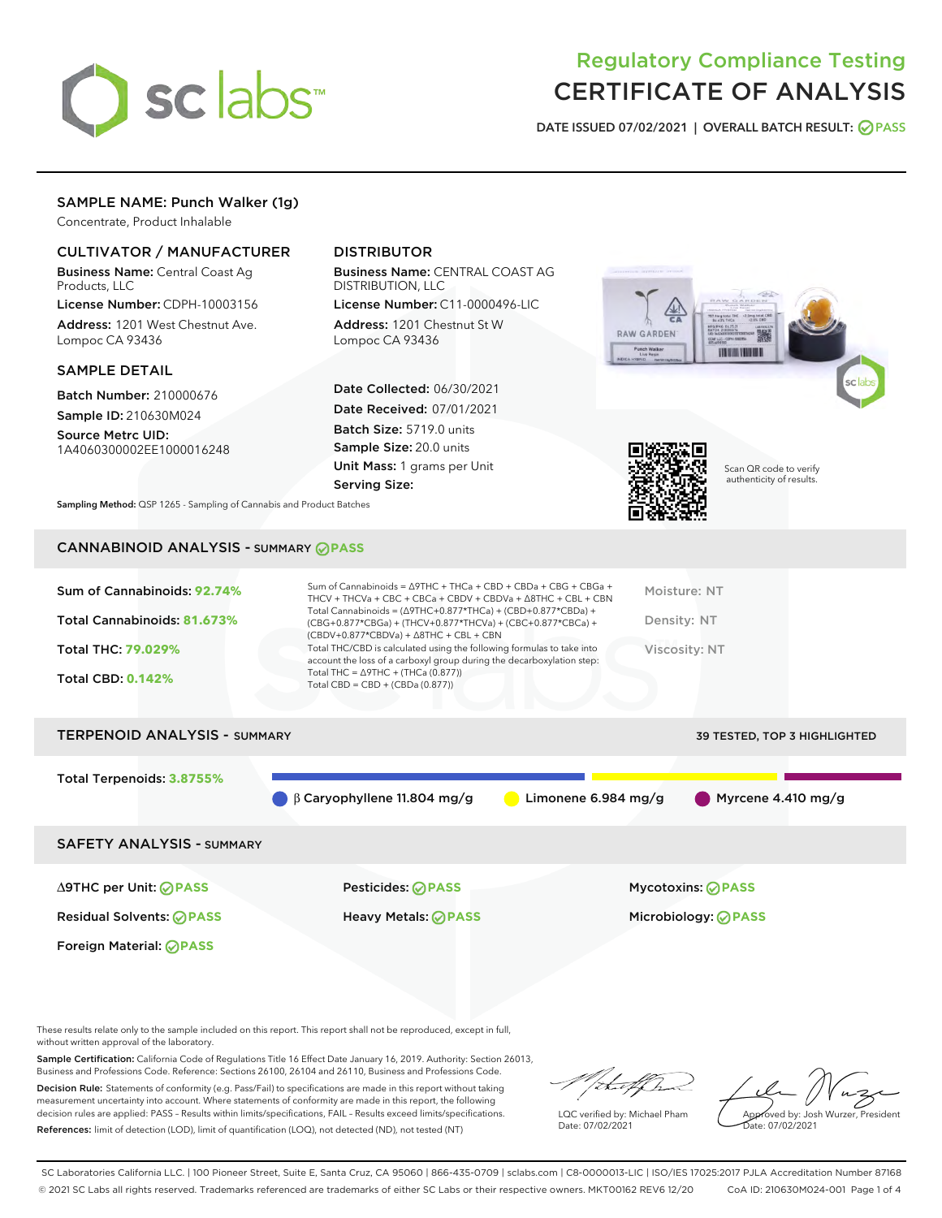

# Regulatory Compliance Testing CERTIFICATE OF ANALYSIS

DATE ISSUED 07/02/2021 | OVERALL BATCH RESULT: @ PASS

# SAMPLE NAME: Punch Walker (1g)

Concentrate, Product Inhalable

# CULTIVATOR / MANUFACTURER

Business Name: Central Coast Ag Products, LLC

License Number: CDPH-10003156 Address: 1201 West Chestnut Ave. Lompoc CA 93436

#### SAMPLE DETAIL

Batch Number: 210000676 Sample ID: 210630M024

Source Metrc UID: 1A4060300002EE1000016248

# DISTRIBUTOR

Business Name: CENTRAL COAST AG DISTRIBUTION, LLC

License Number: C11-0000496-LIC Address: 1201 Chestnut St W Lompoc CA 93436

Date Collected: 06/30/2021 Date Received: 07/01/2021 Batch Size: 5719.0 units Sample Size: 20.0 units Unit Mass: 1 grams per Unit Serving Size:





Scan QR code to verify authenticity of results.

Sampling Method: QSP 1265 - Sampling of Cannabis and Product Batches

# CANNABINOID ANALYSIS - SUMMARY **PASS**

| account the loss of a carboxyl group during the decarboxylation step:<br>Total THC = $\triangle$ 9THC + (THCa (0.877))<br><b>Total CBD: 0.142%</b><br>Total CBD = $CBD + (CBDa (0.877))$ | Sum of Cannabinoids: 92.74%<br>Total Cannabinoids: 81.673% | Sum of Cannabinoids = $\triangle$ 9THC + THCa + CBD + CBDa + CBG + CBGa +<br>THCV + THCVa + CBC + CBCa + CBDV + CBDVa + $\Delta$ 8THC + CBL + CBN<br>Total Cannabinoids = $(\Delta$ 9THC+0.877*THCa) + (CBD+0.877*CBDa) +<br>(CBG+0.877*CBGa) + (THCV+0.877*THCVa) + (CBC+0.877*CBCa) +<br>$(CBDV+0.877*CBDVa) + \Delta 8THC + CBL + CBN$ | Moisture: NT<br>Density: NT |
|------------------------------------------------------------------------------------------------------------------------------------------------------------------------------------------|------------------------------------------------------------|-------------------------------------------------------------------------------------------------------------------------------------------------------------------------------------------------------------------------------------------------------------------------------------------------------------------------------------------|-----------------------------|
|                                                                                                                                                                                          | Total THC: 79.029%                                         | Total THC/CBD is calculated using the following formulas to take into                                                                                                                                                                                                                                                                     | Viscosity: NT               |

# TERPENOID ANALYSIS - SUMMARY **39 TESTED, TOP 3 HIGHLIGHTED** Total Terpenoids: **3.8755%** β Caryophyllene 11.804 mg/g Limonene 6.984 mg/g Myrcene 4.410 mg/g SAFETY ANALYSIS - SUMMARY

Foreign Material: **PASS**

∆9THC per Unit: **PASS** Pesticides: **PASS** Mycotoxins: **PASS**

Residual Solvents: **PASS** Heavy Metals: **PASS** Microbiology: **PASS**

These results relate only to the sample included on this report. This report shall not be reproduced, except in full, without written approval of the laboratory.

Sample Certification: California Code of Regulations Title 16 Effect Date January 16, 2019. Authority: Section 26013, Business and Professions Code. Reference: Sections 26100, 26104 and 26110, Business and Professions Code. Decision Rule: Statements of conformity (e.g. Pass/Fail) to specifications are made in this report without taking

measurement uncertainty into account. Where statements of conformity are made in this report, the following decision rules are applied: PASS – Results within limits/specifications, FAIL – Results exceed limits/specifications. References: limit of detection (LOD), limit of quantification (LOQ), not detected (ND), not tested (NT)

that fCh

LQC verified by: Michael Pham Date: 07/02/2021

Approved by: Josh Wurzer, President ate: 07/02/2021

SC Laboratories California LLC. | 100 Pioneer Street, Suite E, Santa Cruz, CA 95060 | 866-435-0709 | sclabs.com | C8-0000013-LIC | ISO/IES 17025:2017 PJLA Accreditation Number 87168 © 2021 SC Labs all rights reserved. Trademarks referenced are trademarks of either SC Labs or their respective owners. MKT00162 REV6 12/20 CoA ID: 210630M024-001 Page 1 of 4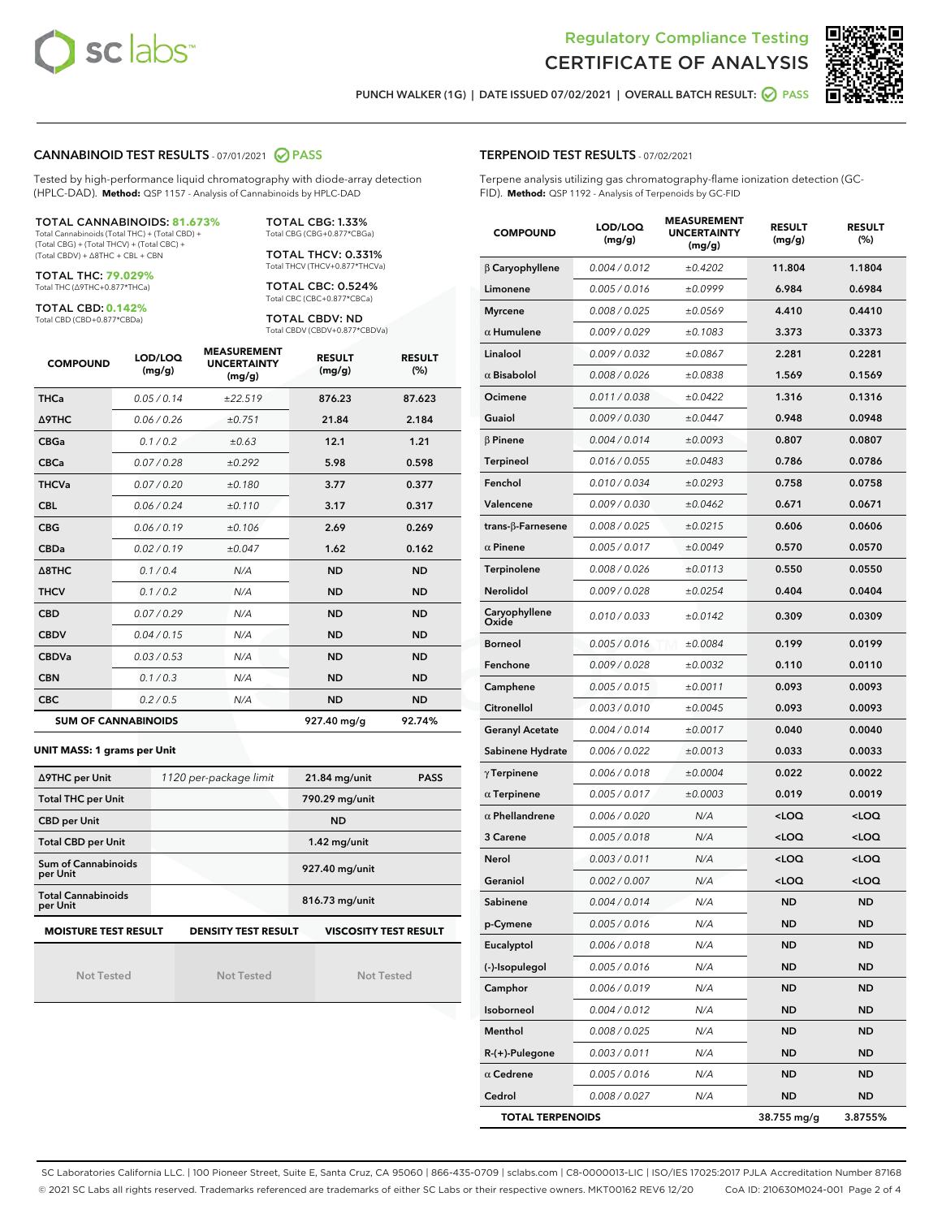



PUNCH WALKER (1G) | DATE ISSUED 07/02/2021 | OVERALL BATCH RESULT: ○ PASS

#### CANNABINOID TEST RESULTS - 07/01/2021 2 PASS

Tested by high-performance liquid chromatography with diode-array detection (HPLC-DAD). **Method:** QSP 1157 - Analysis of Cannabinoids by HPLC-DAD

#### TOTAL CANNABINOIDS: **81.673%**

Total Cannabinoids (Total THC) + (Total CBD) + (Total CBG) + (Total THCV) + (Total CBC) + (Total CBDV) + ∆8THC + CBL + CBN

TOTAL THC: **79.029%** Total THC (∆9THC+0.877\*THCa)

TOTAL CBD: **0.142%**

Total CBD (CBD+0.877\*CBDa)

TOTAL CBG: 1.33% Total CBG (CBG+0.877\*CBGa)

TOTAL THCV: 0.331% Total THCV (THCV+0.877\*THCVa)

TOTAL CBC: 0.524% Total CBC (CBC+0.877\*CBCa)

TOTAL CBDV: ND Total CBDV (CBDV+0.877\*CBDVa)

| <b>COMPOUND</b>  | LOD/LOQ<br>(mg/g)          | <b>MEASUREMENT</b><br><b>UNCERTAINTY</b><br>(mg/g) | <b>RESULT</b><br>(mg/g) | <b>RESULT</b><br>(%) |
|------------------|----------------------------|----------------------------------------------------|-------------------------|----------------------|
| <b>THCa</b>      | 0.05/0.14                  | ±22.519                                            | 876.23                  | 87.623               |
| <b>A9THC</b>     | 0.06 / 0.26                | ±0.751                                             | 21.84                   | 2.184                |
| <b>CBGa</b>      | 0.1/0.2                    | ±0.63                                              | 12.1                    | 1.21                 |
| <b>CBCa</b>      | 0.07 / 0.28                | ±0.292                                             | 5.98                    | 0.598                |
| <b>THCVa</b>     | 0.07/0.20                  | ±0.180                                             | 3.77                    | 0.377                |
| <b>CBL</b>       | 0.06 / 0.24                | ±0.110                                             | 3.17                    | 0.317                |
| <b>CBG</b>       | 0.06/0.19                  | ±0.106                                             | 2.69                    | 0.269                |
| <b>CBDa</b>      | 0.02/0.19                  | ±0.047                                             | 1.62                    | 0.162                |
| $\triangle$ 8THC | 0.1/0.4                    | N/A                                                | <b>ND</b>               | <b>ND</b>            |
| <b>THCV</b>      | 0.1/0.2                    | N/A                                                | <b>ND</b>               | <b>ND</b>            |
| <b>CBD</b>       | 0.07/0.29                  | N/A                                                | <b>ND</b>               | <b>ND</b>            |
| <b>CBDV</b>      | 0.04 / 0.15                | N/A                                                | <b>ND</b>               | <b>ND</b>            |
| <b>CBDVa</b>     | 0.03/0.53                  | N/A                                                | <b>ND</b>               | <b>ND</b>            |
| <b>CBN</b>       | 0.1/0.3                    | N/A                                                | <b>ND</b>               | <b>ND</b>            |
| <b>CBC</b>       | 0.2 / 0.5                  | N/A                                                | <b>ND</b>               | <b>ND</b>            |
|                  | <b>SUM OF CANNABINOIDS</b> |                                                    | 927.40 mg/g             | 92.74%               |

#### **UNIT MASS: 1 grams per Unit**

| ∆9THC per Unit                        | 1120 per-package limit     | <b>PASS</b><br>$21.84$ mg/unit |
|---------------------------------------|----------------------------|--------------------------------|
| <b>Total THC per Unit</b>             |                            | 790.29 mg/unit                 |
| <b>CBD per Unit</b>                   |                            | <b>ND</b>                      |
| <b>Total CBD per Unit</b>             |                            | $1.42$ mg/unit                 |
| Sum of Cannabinoids<br>per Unit       |                            | 927.40 mg/unit                 |
| <b>Total Cannabinoids</b><br>per Unit |                            | 816.73 mg/unit                 |
| <b>MOISTURE TEST RESULT</b>           | <b>DENSITY TEST RESULT</b> | <b>VISCOSITY TEST RESULT</b>   |

Not Tested

Not Tested

Not Tested

#### TERPENOID TEST RESULTS - 07/02/2021

Terpene analysis utilizing gas chromatography-flame ionization detection (GC-FID). **Method:** QSP 1192 - Analysis of Terpenoids by GC-FID

| <b>COMPOUND</b>         | LOD/LOQ<br>(mg/g) | <b>MEASUREMENT</b><br><b>UNCERTAINTY</b><br>(mg/g) | <b>RESULT</b><br>(mg/g)                         | <b>RESULT</b><br>$(\%)$ |
|-------------------------|-------------------|----------------------------------------------------|-------------------------------------------------|-------------------------|
| $\beta$ Caryophyllene   | 0.004 / 0.012     | ±0.4202                                            | 11.804                                          | 1.1804                  |
| Limonene                | 0.005 / 0.016     | ±0.0999                                            | 6.984                                           | 0.6984                  |
| <b>Myrcene</b>          | 0.008 / 0.025     | ±0.0569                                            | 4.410                                           | 0.4410                  |
| $\alpha$ Humulene       | 0.009 / 0.029     | ±0.1083                                            | 3.373                                           | 0.3373                  |
| Linalool                | 0.009 / 0.032     | ±0.0867                                            | 2.281                                           | 0.2281                  |
| $\alpha$ Bisabolol      | 0.008 / 0.026     | ±0.0838                                            | 1.569                                           | 0.1569                  |
| Ocimene                 | 0.011 / 0.038     | ±0.0422                                            | 1.316                                           | 0.1316                  |
| Guaiol                  | 0.009 / 0.030     | ±0.0447                                            | 0.948                                           | 0.0948                  |
| <b>B</b> Pinene         | 0.004 / 0.014     | ±0.0093                                            | 0.807                                           | 0.0807                  |
| Terpineol               | 0.016 / 0.055     | ±0.0483                                            | 0.786                                           | 0.0786                  |
| Fenchol                 | 0.010 / 0.034     | ±0.0293                                            | 0.758                                           | 0.0758                  |
| Valencene               | 0.009 / 0.030     | ±0.0462                                            | 0.671                                           | 0.0671                  |
| trans-β-Farnesene       | 0.008 / 0.025     | ±0.0215                                            | 0.606                                           | 0.0606                  |
| $\alpha$ Pinene         | 0.005 / 0.017     | ±0.0049                                            | 0.570                                           | 0.0570                  |
| Terpinolene             | 0.008 / 0.026     | ±0.0113                                            | 0.550                                           | 0.0550                  |
| Nerolidol               | 0.009 / 0.028     | ±0.0254                                            | 0.404                                           | 0.0404                  |
| Caryophyllene<br>Oxide  | 0.010 / 0.033     | ±0.0142                                            | 0.309                                           | 0.0309                  |
| <b>Borneol</b>          | 0.005 / 0.016     | ±0.0084                                            | 0.199                                           | 0.0199                  |
| Fenchone                | 0.009 / 0.028     | ±0.0032                                            | 0.110                                           | 0.0110                  |
| Camphene                | 0.005 / 0.015     | ±0.0011                                            | 0.093                                           | 0.0093                  |
| Citronellol             | 0.003 / 0.010     | ±0.0045                                            | 0.093                                           | 0.0093                  |
| <b>Geranyl Acetate</b>  | 0.004 / 0.014     | ±0.0017                                            | 0.040                                           | 0.0040                  |
| Sabinene Hydrate        | 0.006 / 0.022     | ±0.0013                                            | 0.033                                           | 0.0033                  |
| $\gamma$ Terpinene      | 0.006 / 0.018     | ±0.0004                                            | 0.022                                           | 0.0022                  |
| $\alpha$ Terpinene      | 0.005 / 0.017     | ±0.0003                                            | 0.019                                           | 0.0019                  |
| $\alpha$ Phellandrene   | 0.006 / 0.020     | N/A                                                | <loq< th=""><th><loq< th=""></loq<></th></loq<> | <loq< th=""></loq<>     |
| 3 Carene                | 0.005 / 0.018     | N/A                                                | <loq< th=""><th><loq< th=""></loq<></th></loq<> | <loq< th=""></loq<>     |
| Nerol                   | 0.003 / 0.011     | N/A                                                | <loq< th=""><th><loq< th=""></loq<></th></loq<> | <loq< th=""></loq<>     |
| Geraniol                | 0.002 / 0.007     | N/A                                                | <loq< th=""><th><loq< th=""></loq<></th></loq<> | <loq< th=""></loq<>     |
| Sabinene                | 0.004 / 0.014     | N/A                                                | ND                                              | <b>ND</b>               |
| p-Cymene                | 0.005 / 0.016     | N/A                                                | ND                                              | ND                      |
| Eucalyptol              | 0.006 / 0.018     | N/A                                                | ND                                              | ND                      |
| (-)-Isopulegol          | 0.005 / 0.016     | N/A                                                | ND                                              | ND                      |
| Camphor                 | 0.006 / 0.019     | N/A                                                | ND                                              | <b>ND</b>               |
| Isoborneol              | 0.004 / 0.012     | N/A                                                | ND                                              | ND                      |
| Menthol                 | 0.008 / 0.025     | N/A                                                | ND                                              | ND                      |
| R-(+)-Pulegone          | 0.003 / 0.011     | N/A                                                | ND                                              | ND                      |
| $\alpha$ Cedrene        | 0.005 / 0.016     | N/A                                                | ND                                              | ND                      |
| Cedrol                  | 0.008 / 0.027     | N/A                                                | ND                                              | <b>ND</b>               |
| <b>TOTAL TERPENOIDS</b> |                   |                                                    | 38.755 mg/g                                     | 3.8755%                 |

SC Laboratories California LLC. | 100 Pioneer Street, Suite E, Santa Cruz, CA 95060 | 866-435-0709 | sclabs.com | C8-0000013-LIC | ISO/IES 17025:2017 PJLA Accreditation Number 87168 © 2021 SC Labs all rights reserved. Trademarks referenced are trademarks of either SC Labs or their respective owners. MKT00162 REV6 12/20 CoA ID: 210630M024-001 Page 2 of 4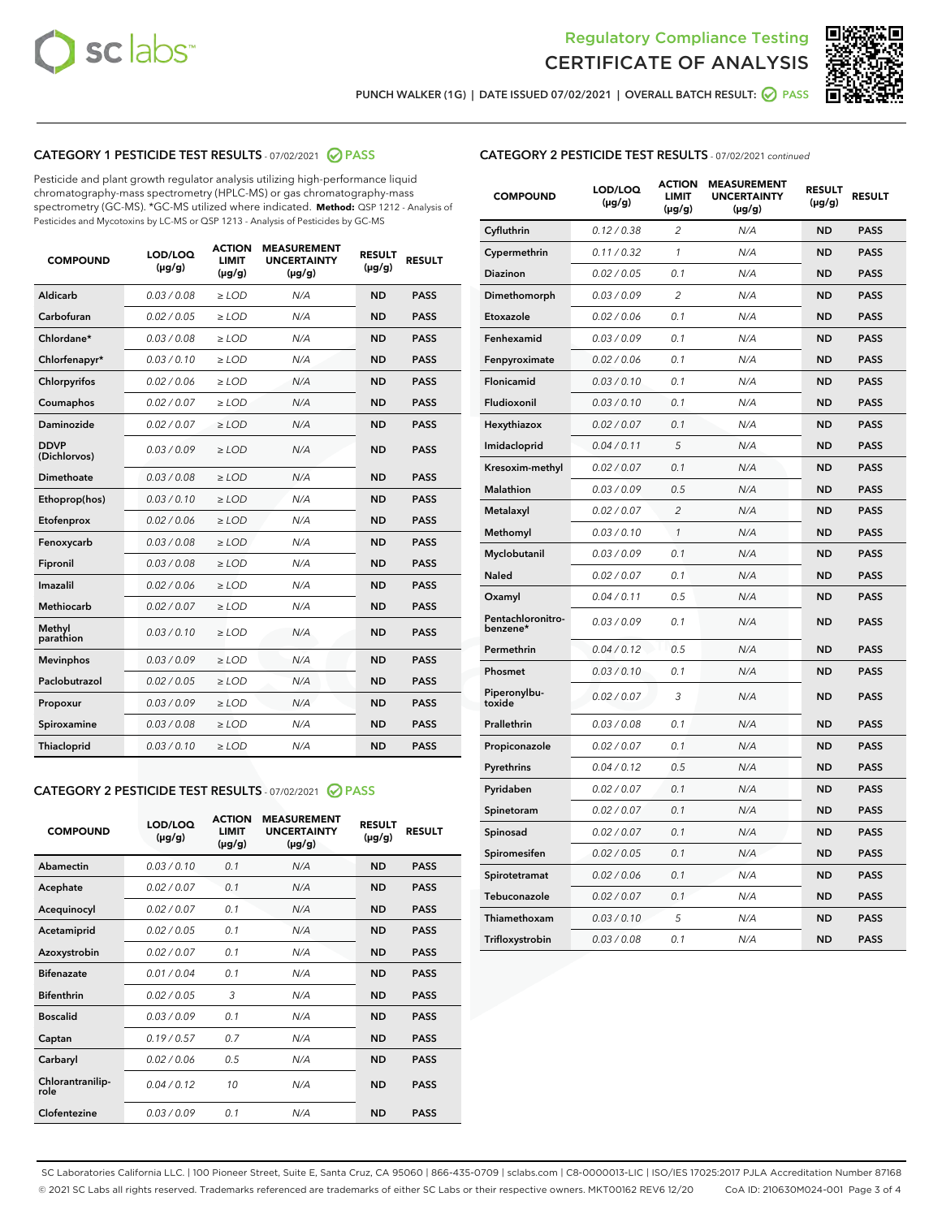



PUNCH WALKER (1G) | DATE ISSUED 07/02/2021 | OVERALL BATCH RESULT:  $\bigcirc$  PASS

# CATEGORY 1 PESTICIDE TEST RESULTS - 07/02/2021 2 PASS

Pesticide and plant growth regulator analysis utilizing high-performance liquid chromatography-mass spectrometry (HPLC-MS) or gas chromatography-mass spectrometry (GC-MS). \*GC-MS utilized where indicated. **Method:** QSP 1212 - Analysis of Pesticides and Mycotoxins by LC-MS or QSP 1213 - Analysis of Pesticides by GC-MS

| <b>COMPOUND</b>             | LOD/LOQ<br>$(\mu g/g)$ | <b>ACTION</b><br><b>LIMIT</b><br>$(\mu g/g)$ | <b>MEASUREMENT</b><br><b>UNCERTAINTY</b><br>$(\mu g/g)$ | <b>RESULT</b><br>$(\mu g/g)$ | <b>RESULT</b> |
|-----------------------------|------------------------|----------------------------------------------|---------------------------------------------------------|------------------------------|---------------|
| Aldicarb                    | 0.03 / 0.08            | $\geq$ LOD                                   | N/A                                                     | <b>ND</b>                    | <b>PASS</b>   |
| Carbofuran                  | 0.02/0.05              | $>$ LOD                                      | N/A                                                     | <b>ND</b>                    | <b>PASS</b>   |
| Chlordane*                  | 0.03 / 0.08            | $\ge$ LOD                                    | N/A                                                     | <b>ND</b>                    | <b>PASS</b>   |
| Chlorfenapyr*               | 0.03/0.10              | $>$ LOD                                      | N/A                                                     | <b>ND</b>                    | <b>PASS</b>   |
| Chlorpyrifos                | 0.02 / 0.06            | $\ge$ LOD                                    | N/A                                                     | <b>ND</b>                    | <b>PASS</b>   |
| Coumaphos                   | 0.02 / 0.07            | $\ge$ LOD                                    | N/A                                                     | <b>ND</b>                    | <b>PASS</b>   |
| Daminozide                  | 0.02 / 0.07            | $\ge$ LOD                                    | N/A                                                     | <b>ND</b>                    | <b>PASS</b>   |
| <b>DDVP</b><br>(Dichlorvos) | 0.03/0.09              | $\ge$ LOD                                    | N/A                                                     | <b>ND</b>                    | <b>PASS</b>   |
| Dimethoate                  | 0.03/0.08              | $>$ LOD                                      | N/A                                                     | <b>ND</b>                    | <b>PASS</b>   |
| Ethoprop(hos)               | 0.03/0.10              | $\ge$ LOD                                    | N/A                                                     | <b>ND</b>                    | <b>PASS</b>   |
| Etofenprox                  | 0.02 / 0.06            | $\ge$ LOD                                    | N/A                                                     | <b>ND</b>                    | <b>PASS</b>   |
| Fenoxycarb                  | 0.03/0.08              | $\ge$ LOD                                    | N/A                                                     | <b>ND</b>                    | <b>PASS</b>   |
| Fipronil                    | 0.03/0.08              | $>$ LOD                                      | N/A                                                     | <b>ND</b>                    | <b>PASS</b>   |
| Imazalil                    | 0.02 / 0.06            | $\ge$ LOD                                    | N/A                                                     | <b>ND</b>                    | <b>PASS</b>   |
| <b>Methiocarb</b>           | 0.02 / 0.07            | $\ge$ LOD                                    | N/A                                                     | <b>ND</b>                    | <b>PASS</b>   |
| Methyl<br>parathion         | 0.03/0.10              | $\ge$ LOD                                    | N/A                                                     | <b>ND</b>                    | <b>PASS</b>   |
| <b>Mevinphos</b>            | 0.03/0.09              | $>$ LOD                                      | N/A                                                     | <b>ND</b>                    | <b>PASS</b>   |
| Paclobutrazol               | 0.02 / 0.05            | $\ge$ LOD                                    | N/A                                                     | <b>ND</b>                    | <b>PASS</b>   |
| Propoxur                    | 0.03/0.09              | $\ge$ LOD                                    | N/A                                                     | <b>ND</b>                    | <b>PASS</b>   |
| Spiroxamine                 | 0.03 / 0.08            | $\ge$ LOD                                    | N/A                                                     | <b>ND</b>                    | <b>PASS</b>   |
| Thiacloprid                 | 0.03/0.10              | $\ge$ LOD                                    | N/A                                                     | <b>ND</b>                    | <b>PASS</b>   |

#### CATEGORY 2 PESTICIDE TEST RESULTS - 07/02/2021 @ PASS

| <b>COMPOUND</b>          | LOD/LOO<br>$(\mu g/g)$ | <b>ACTION</b><br>LIMIT<br>$(\mu g/g)$ | <b>MEASUREMENT</b><br><b>UNCERTAINTY</b><br>$(\mu g/g)$ | <b>RESULT</b><br>$(\mu g/g)$ | <b>RESULT</b> |
|--------------------------|------------------------|---------------------------------------|---------------------------------------------------------|------------------------------|---------------|
| Abamectin                | 0.03/0.10              | 0.1                                   | N/A                                                     | <b>ND</b>                    | <b>PASS</b>   |
| Acephate                 | 0.02/0.07              | 0.1                                   | N/A                                                     | <b>ND</b>                    | <b>PASS</b>   |
| Acequinocyl              | 0.02/0.07              | 0.1                                   | N/A                                                     | <b>ND</b>                    | <b>PASS</b>   |
| Acetamiprid              | 0.02/0.05              | 0.1                                   | N/A                                                     | <b>ND</b>                    | <b>PASS</b>   |
| Azoxystrobin             | 0.02/0.07              | 0.1                                   | N/A                                                     | <b>ND</b>                    | <b>PASS</b>   |
| <b>Bifenazate</b>        | 0.01 / 0.04            | 0.1                                   | N/A                                                     | <b>ND</b>                    | <b>PASS</b>   |
| <b>Bifenthrin</b>        | 0.02 / 0.05            | 3                                     | N/A                                                     | <b>ND</b>                    | <b>PASS</b>   |
| <b>Boscalid</b>          | 0.03/0.09              | 0.1                                   | N/A                                                     | <b>ND</b>                    | <b>PASS</b>   |
| Captan                   | 0.19/0.57              | 0.7                                   | N/A                                                     | <b>ND</b>                    | <b>PASS</b>   |
| Carbaryl                 | 0.02/0.06              | 0.5                                   | N/A                                                     | <b>ND</b>                    | <b>PASS</b>   |
| Chlorantranilip-<br>role | 0.04/0.12              | 10                                    | N/A                                                     | <b>ND</b>                    | <b>PASS</b>   |
| Clofentezine             | 0.03/0.09              | 0.1                                   | N/A                                                     | <b>ND</b>                    | <b>PASS</b>   |

# CATEGORY 2 PESTICIDE TEST RESULTS - 07/02/2021 continued

| <b>COMPOUND</b>               | LOD/LOQ<br>(µg/g) | <b>ACTION</b><br><b>LIMIT</b><br>$(\mu g/g)$ | <b>MEASUREMENT</b><br><b>UNCERTAINTY</b><br>$(\mu g/g)$ | <b>RESULT</b><br>(µg/g) | <b>RESULT</b> |
|-------------------------------|-------------------|----------------------------------------------|---------------------------------------------------------|-------------------------|---------------|
| Cyfluthrin                    | 0.12 / 0.38       | $\overline{c}$                               | N/A                                                     | <b>ND</b>               | <b>PASS</b>   |
| Cypermethrin                  | 0.11 / 0.32       | 1                                            | N/A                                                     | ND                      | <b>PASS</b>   |
| Diazinon                      | 0.02 / 0.05       | 0.1                                          | N/A                                                     | ND                      | <b>PASS</b>   |
| Dimethomorph                  | 0.03 / 0.09       | 2                                            | N/A                                                     | ND                      | <b>PASS</b>   |
| Etoxazole                     | 0.02 / 0.06       | 0.1                                          | N/A                                                     | <b>ND</b>               | <b>PASS</b>   |
| Fenhexamid                    | 0.03 / 0.09       | 0.1                                          | N/A                                                     | <b>ND</b>               | <b>PASS</b>   |
| Fenpyroximate                 | 0.02 / 0.06       | 0.1                                          | N/A                                                     | ND                      | <b>PASS</b>   |
| Flonicamid                    | 0.03 / 0.10       | 0.1                                          | N/A                                                     | ND                      | <b>PASS</b>   |
| Fludioxonil                   | 0.03 / 0.10       | 0.1                                          | N/A                                                     | <b>ND</b>               | <b>PASS</b>   |
| Hexythiazox                   | 0.02 / 0.07       | 0.1                                          | N/A                                                     | ND                      | <b>PASS</b>   |
| Imidacloprid                  | 0.04 / 0.11       | 5                                            | N/A                                                     | ND                      | <b>PASS</b>   |
| Kresoxim-methyl               | 0.02 / 0.07       | 0.1                                          | N/A                                                     | <b>ND</b>               | <b>PASS</b>   |
| <b>Malathion</b>              | 0.03 / 0.09       | 0.5                                          | N/A                                                     | ND                      | <b>PASS</b>   |
| Metalaxyl                     | 0.02 / 0.07       | $\overline{c}$                               | N/A                                                     | ND                      | <b>PASS</b>   |
| Methomyl                      | 0.03 / 0.10       | 1                                            | N/A                                                     | <b>ND</b>               | <b>PASS</b>   |
| Myclobutanil                  | 0.03 / 0.09       | 0.1                                          | N/A                                                     | ND                      | <b>PASS</b>   |
| Naled                         | 0.02 / 0.07       | 0.1                                          | N/A                                                     | ND                      | <b>PASS</b>   |
| Oxamyl                        | 0.04 / 0.11       | 0.5                                          | N/A                                                     | ND                      | <b>PASS</b>   |
| Pentachloronitro-<br>benzene* | 0.03 / 0.09       | 0.1                                          | N/A                                                     | ND                      | <b>PASS</b>   |
| Permethrin                    | 0.04 / 0.12       | 0.5                                          | N/A                                                     | <b>ND</b>               | <b>PASS</b>   |
| Phosmet                       | 0.03 / 0.10       | 0.1                                          | N/A                                                     | <b>ND</b>               | <b>PASS</b>   |
| Piperonylbu-<br>toxide        | 0.02 / 0.07       | 3                                            | N/A                                                     | ND                      | <b>PASS</b>   |
| Prallethrin                   | 0.03 / 0.08       | 0.1                                          | N/A                                                     | <b>ND</b>               | <b>PASS</b>   |
| Propiconazole                 | 0.02 / 0.07       | 0.1                                          | N/A                                                     | ND                      | <b>PASS</b>   |
| Pyrethrins                    | 0.04 / 0.12       | 0.5                                          | N/A                                                     | ND                      | <b>PASS</b>   |
| Pyridaben                     | 0.02 / 0.07       | 0.1                                          | N/A                                                     | ND                      | <b>PASS</b>   |
| Spinetoram                    | 0.02 / 0.07       | 0.1                                          | N/A                                                     | ND                      | <b>PASS</b>   |
| Spinosad                      | 0.02 / 0.07       | 0.1                                          | N/A                                                     | ND                      | <b>PASS</b>   |
| Spiromesifen                  | 0.02 / 0.05       | 0.1                                          | N/A                                                     | <b>ND</b>               | <b>PASS</b>   |
| Spirotetramat                 | 0.02 / 0.06       | 0.1                                          | N/A                                                     | ND                      | <b>PASS</b>   |
| Tebuconazole                  | 0.02 / 0.07       | 0.1                                          | N/A                                                     | ND                      | <b>PASS</b>   |
| Thiamethoxam                  | 0.03 / 0.10       | 5                                            | N/A                                                     | <b>ND</b>               | <b>PASS</b>   |
| Trifloxystrobin               | 0.03 / 0.08       | 0.1                                          | N/A                                                     | <b>ND</b>               | <b>PASS</b>   |

SC Laboratories California LLC. | 100 Pioneer Street, Suite E, Santa Cruz, CA 95060 | 866-435-0709 | sclabs.com | C8-0000013-LIC | ISO/IES 17025:2017 PJLA Accreditation Number 87168 © 2021 SC Labs all rights reserved. Trademarks referenced are trademarks of either SC Labs or their respective owners. MKT00162 REV6 12/20 CoA ID: 210630M024-001 Page 3 of 4